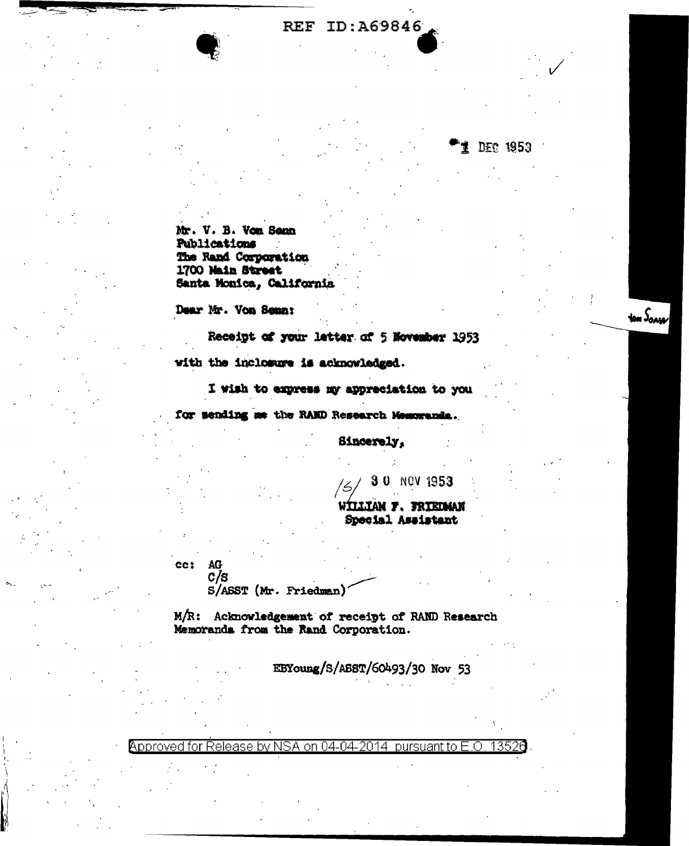## **REF ID: A69846**

1 DEC 1953

ton Song

Mr. V. B. Von Senn Publications The Rand Corporation 1700 Main Street Santa Monica, California

Dear Mr. Von Senn:

Receipt of your latter of 5 November 1953

with the inclosure is acknowledged.

I wish to express my appreciation to you

for sending me the RAMD Research Memoranda.

Sincerely.

30 NOV 1953

W**illiam F. Friedman** Special Assistant

CC<sub>3</sub> AG  $c/s$ 

S/ASST (Mr. Friedman)

M/R: Acknowledgement of receipt of RAND Research Memoranda from the Rand Corporation.

EBYoung/S/ASST/60493/30 Nov 53

Approved for Release by NSA on 04-04-2014 pursuant to E.O. 13526